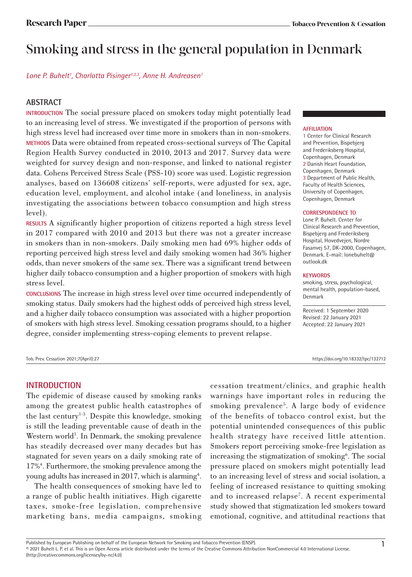# Smoking and stress in the general population in Denmark

Lone P. Buhelt<sup>1</sup>, Charlotta Pisinger<sup>1,2,3</sup>, Anne H. Andreasen<sup>1</sup>

# **ABSTRACT**

**INTRODUCTION** The social pressure placed on smokers today might potentially lead to an increasing level of stress. We investigated if the proportion of persons with high stress level had increased over time more in smokers than in non-smokers. **METHODS** Data were obtained from repeated cross-sectional surveys of The Capital Region Health Survey conducted in 2010, 2013 and 2017. Survey data were weighted for survey design and non-response, and linked to national register data. Cohens Perceived Stress Scale (PSS-10) score was used. Logistic regression analyses, based on 136608 citizens' self-reports, were adjusted for sex, age, education level, employment, and alcohol intake (and loneliness, in analysis investigating the associations between tobacco consumption and high stress level).

**RESULTS** A significantly higher proportion of citizens reported a high stress level in 2017 compared with 2010 and 2013 but there was not a greater increase in smokers than in non-smokers. Daily smoking men had 69% higher odds of reporting perceived high stress level and daily smoking women had 36% higher odds, than never smokers of the same sex. There was a significant trend between higher daily tobacco consumption and a higher proportion of smokers with high stress level.

**CONCLUSIONS** The increase in high stress level over time occurred independently of smoking status. Daily smokers had the highest odds of perceived high stress level, and a higher daily tobacco consumption was associated with a higher proportion of smokers with high stress level. Smoking cessation programs should, to a higher degree, consider implementing stress-coping elements to prevent relapse.

#### **AFFILIATION**

1 Center for Clinical Research and Prevention, Bispebjerg and Frederiksberg Hospital, Copenhagen, Denmark 2 Danish Heart Foundation, Copenhagen, Denmark 3 Department of Public Health, Faculty of Health Sciences, University of Copenhagen, Copenhagen, Denmark

#### **CORRESPONDENCE TO**

Lone P. Buhelt. Center for Clinical Research and Prevention, Bispebjerg and Frederiksberg Hospital, Hovedvejen, Nordre Fasanvej 57, DK-2000, Copenhagen, Denmark. E-mail: lonebuhelt@ outlook.dk

#### **KEYWORDS**

smoking, stress, psychological, mental health, population-based, Denmark

Received: 1 September 2020 Revised: 22 January 2021 Accepted: 22 January 2021

#### Tob. Prev. Cessation 2021;7(April):27 https://doi.org/10.18332/tpc/132712

#### **INTRODUCTION**

The epidemic of disease caused by smoking ranks among the greatest public health catastrophes of the last century<sup>1-3</sup>. Despite this knowledge, smoking is still the leading preventable cause of death in the Western world<sup>1</sup>. In Denmark, the smoking prevalence has steadily decreased over many decades but has stagnated for seven years on a daily smoking rate of 17%4 . Furthermore, the smoking prevalence among the young adults has increased in 2017, which is alarming<sup>4</sup>.

The health consequences of smoking have led to a range of public health initiatives. High cigarette taxes, smoke-free legislation, comprehensive marketing bans, media campaigns, smoking cessation treatment/clinics, and graphic health warnings have important roles in reducing the smoking prevalence<sup>5</sup>. A large body of evidence of the benefits of tobacco control exist, but the potential unintended consequences of this public health strategy have received little attention. Smokers report perceiving smoke-free legislation as increasing the stigmatization of smoking<sup>6</sup>. The social pressure placed on smokers might potentially lead to an increasing level of stress and social isolation, a feeling of increased resistance to quitting smoking and to increased relapse<sup>7</sup>. A recent experimental study showed that stigmatization led smokers toward emotional, cognitive, and attitudinal reactions that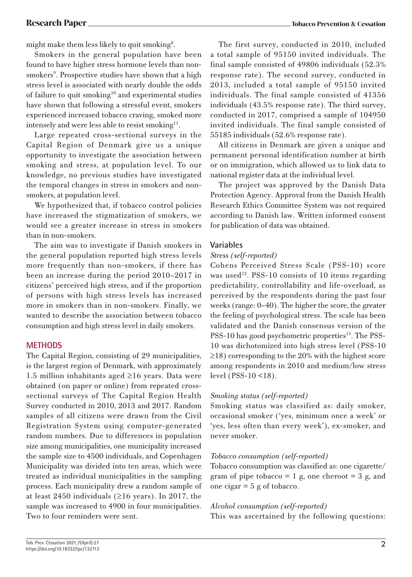might make them less likely to quit smoking<sup>8</sup>.

Smokers in the general population have been found to have higher stress hormone levels than nonsmokers<sup>9</sup>. Prospective studies have shown that a high stress level is associated with nearly double the odds of failure to quit smoking<sup>10</sup> and experimental studies have shown that following a stressful event, smokers experienced increased tobacco craving, smoked more intensely and were less able to resist smoking<sup>11</sup>.

Large repeated cross-sectional surveys in the Capital Region of Denmark give us a unique opportunity to investigate the association between smoking and stress, at population level. To our knowledge, no previous studies have investigated the temporal changes in stress in smokers and nonsmokers, at population level.

We hypothesized that, if tobacco control policies have increased the stigmatization of smokers, we would see a greater increase in stress in smokers than in non-smokers.

The aim was to investigate if Danish smokers in the general population reported high stress levels more frequently than non-smokers, if there has been an increase during the period 2010–2017 in citizens' perceived high stress, and if the proportion of persons with high stress levels has increased more in smokers than in non-smokers. Finally, we wanted to describe the association between tobacco consumption and high stress level in daily smokers.

# **METHODS**

The Capital Region, consisting of 29 municipalities, is the largest region of Denmark, with approximately 1.5 million inhabitants aged ≥16 years. Data were obtained (on paper or online) from repeated crosssectional surveys of The Capital Region Health Survey conducted in 2010, 2013 and 2017. Random samples of all citizens were drawn from the Civil Registration System using computer-generated random numbers. Due to differences in population size among municipalities, one municipality increased the sample size to 4500 individuals, and Copenhagen Municipality was divided into ten areas, which were treated as individual municipalities in the sampling process. Each municipality drew a random sample of at least 2450 individuals  $(≥16 \text{ years})$ . In 2017, the sample was increased to 4900 in four municipalities. Two to four reminders were sent.

The first survey, conducted in 2010, included a total sample of 95150 invited individuals. The final sample consisted of 49806 individuals (52.3% response rate). The second survey, conducted in 2013, included a total sample of 95150 invited individuals. The final sample consisted of 41356 individuals (43.5% response rate). The third survey, conducted in 2017, comprised a sample of 104950 invited individuals. The final sample consisted of 55185 individuals (52.6% response rate).

All citizens in Denmark are given a unique and permanent personal identification number at birth or on immigration, which allowed us to link data to national register data at the individual level.

The project was approved by the Danish Data Protection Agency. Approval from the Danish Health Research Ethics Committee System was not required according to Danish law. Written informed consent for publication of data was obtained.

### **Variables**

#### *Stress (self-reported)*

Cohens Perceived Stress Scale (PSS-10) score was used<sup>12</sup>. PSS-10 consists of 10 items regarding predictability, controllability and life-overload, as perceived by the respondents during the past four weeks (range: 0–40). The higher the score, the greater the feeling of psychological stress. The scale has been validated and the Danish consensus version of the PSS-10 has good psychometric properties<sup>13</sup>. The PSS-10 was dichotomized into high stress level (PSS-10 ≥18) corresponding to the 20% with the highest score among respondents in 2010 and medium/low stress level (PSS-10 <18).

# *Smoking status (self-reported)*

Smoking status was classified as: daily smoker, occasional smoker ('yes, minimum once a week' or 'yes, less often than every week'), ex-smoker, and never smoker.

#### *Tobacco consumption (self-reported)*

Tobacco consumption was classified as: one cigarette/ gram of pipe tobacco  $= 1$  g, one cheroot  $= 3$  g, and one cigar  $= 5$  g of tobacco.

# *Alcohol consumption (self-reported)*

This was ascertained by the following questions: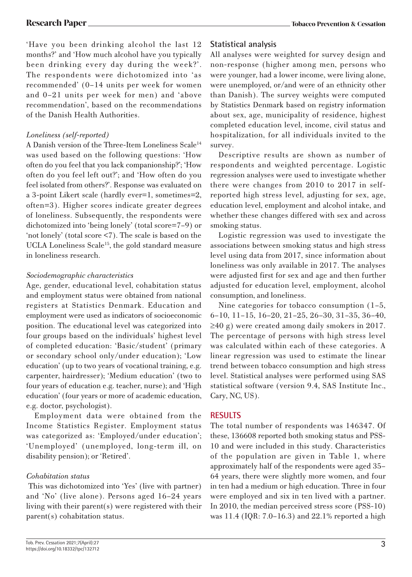#### **Research Paper Tobacco Prevention & Cessation**

'Have you been drinking alcohol the last 12 months?' and 'How much alcohol have you typically been drinking every day during the week?'. The respondents were dichotomized into 'as recommended' (0–14 units per week for women and 0–21 units per week for men) and 'above recommendation', based on the recommendations of the Danish Health Authorities.

# *Loneliness (self-reported)*

A Danish version of the Three-Item Loneliness Scale<sup>14</sup> was used based on the following questions: 'How often do you feel that you lack companionship?'; 'How often do you feel left out?'; and 'How often do you feel isolated from others?'. Response was evaluated on a 3-point Likert scale (hardly ever=1, sometimes=2, often=3). Higher scores indicate greater degrees of loneliness. Subsequently, the respondents were dichotomized into 'being lonely' (total score=7–9) or 'not lonely' (total score <7). The scale is based on the UCLA Loneliness Scale<sup>15</sup>, the gold standard measure in loneliness research.

### *Sociodemographic characteristics*

Age, gender, educational level, cohabitation status and employment status were obtained from national registers at Statistics Denmark. Education and employment were used as indicators of socioeconomic position. The educational level was categorized into four groups based on the individuals' highest level of completed education: 'Basic/student' (primary or secondary school only/under education); 'Low education' (up to two years of vocational training, e.g. carpenter, hairdresser); 'Medium education' (two to four years of education e.g. teacher, nurse); and 'High education' (four years or more of academic education, e.g. doctor, psychologist).

Employment data were obtained from the Income Statistics Register. Employment status was categorized as: 'Employed/under education'; 'Unemployed' (unemployed, long-term ill, on disability pension); or 'Retired'.

#### *Cohabitation status*

 This was dichotomized into 'Yes' (live with partner) and 'No' (live alone). Persons aged 16–24 years living with their parent(s) were registered with their parent(s) cohabitation status.

All analyses were weighted for survey design and non-response (higher among men, persons who were younger, had a lower income, were living alone, were unemployed, or/and were of an ethnicity other than Danish). The survey weights were computed by Statistics Denmark based on registry information about sex, age, municipality of residence, highest completed education level, income, civil status and hospitalization, for all individuals invited to the survey.

Descriptive results are shown as number of respondents and weighted percentage. Logistic regression analyses were used to investigate whether there were changes from 2010 to 2017 in selfreported high stress level, adjusting for sex, age, education level, employment and alcohol intake, and whether these changes differed with sex and across smoking status.

Logistic regression was used to investigate the associations between smoking status and high stress level using data from 2017, since information about loneliness was only available in 2017. The analyses were adjusted first for sex and age and then further adjusted for education level, employment, alcohol consumption, and loneliness.

Nine categories for tobacco consumption (1–5, 6–10, 11–15, 16–20, 21–25, 26–30, 31–35, 36–40,  $\geq$ 40 g) were created among daily smokers in 2017. The percentage of persons with high stress level was calculated within each of these categories. A linear regression was used to estimate the linear trend between tobacco consumption and high stress level. Statistical analyses were performed using SAS statistical software (version 9.4, SAS Institute Inc., Cary, NC, US).

#### **RESULTS**

The total number of respondents was 146347. Of these, 136608 reported both smoking status and PSS-10 and were included in this study. Characteristics of the population are given in Table 1, where approximately half of the respondents were aged 35– 64 years, there were slightly more women, and four in ten had a medium or high education. Three in four were employed and six in ten lived with a partner. In 2010, the median perceived stress score (PSS-10) was 11.4 (IQR: 7.0–16.3) and 22.1% reported a high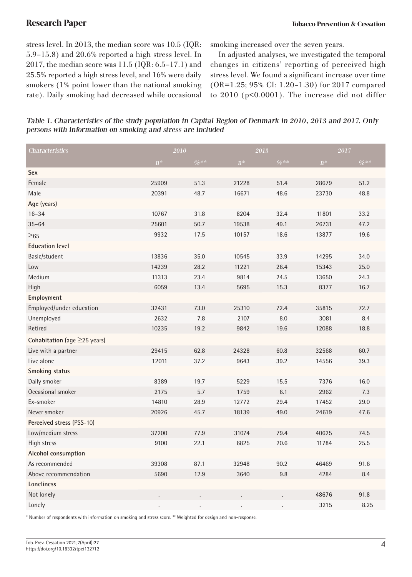stress level. In 2013, the median score was 10.5 (IQR: 5.9–15.8) and 20.6% reported a high stress level. In 2017, the median score was 11.5 (IQR: 6.5–17.1) and 25.5% reported a high stress level, and 16% were daily smokers (1% point lower than the national smoking rate). Daily smoking had decreased while occasional

smoking increased over the seven years.

In adjusted analyses, we investigated the temporal changes in citizens' reporting of perceived high stress level. We found a significant increase over time (OR=1.25; 95% CI: 1.20–1.30) for 2017 compared to 2010 (p<0.0001). The increase did not differ

Table 1. Characteristics of the study population in Capital Region of Denmark in 2010, 2013 and 2017. Only persons with information on smoking and stress are included

| Characteristics                    |       | $2010\,$<br>$2013\,$ |       |        | $2017\,$ |        |
|------------------------------------|-------|----------------------|-------|--------|----------|--------|
|                                    | $n^*$ | $\%**$               | $n^*$ | $\%**$ | $n^*$    | $\%**$ |
| Sex                                |       |                      |       |        |          |        |
| Female                             | 25909 | 51.3                 | 21228 | 51.4   | 28679    | 51.2   |
| Male                               | 20391 | 48.7                 | 16671 | 48.6   | 23730    | 48.8   |
| Age (years)                        |       |                      |       |        |          |        |
| $16 - 34$                          | 10767 | 31.8                 | 8204  | 32.4   | 11801    | 33.2   |
| $35 - 64$                          | 25601 | 50.7                 | 19538 | 49.1   | 26731    | 47.2   |
| $\geq 65$                          | 9932  | 17.5                 | 10157 | 18.6   | 13877    | 19.6   |
| <b>Education level</b>             |       |                      |       |        |          |        |
| Basic/student                      | 13836 | 35.0                 | 10545 | 33.9   | 14295    | 34.0   |
| Low                                | 14239 | 28.2                 | 11221 | 26.4   | 15343    | 25.0   |
| Medium                             | 11313 | 23.4                 | 9814  | 24.5   | 13650    | 24.3   |
| High                               | 6059  | 13.4                 | 5695  | 15.3   | 8377     | 16.7   |
| Employment                         |       |                      |       |        |          |        |
| Employed/under education           | 32431 | 73.0                 | 25310 | 72.4   | 35815    | 72.7   |
| Unemployed                         | 2632  | 7.8                  | 2107  | 8.0    | 3081     | 8.4    |
| Retired                            | 10235 | 19.2                 | 9842  | 19.6   | 12088    | 18.8   |
| Cohabitation (age $\geq$ 25 years) |       |                      |       |        |          |        |
| Live with a partner                | 29415 | 62.8                 | 24328 | 60.8   | 32568    | 60.7   |
| Live alone                         | 12011 | 37.2                 | 9643  | 39.2   | 14556    | 39.3   |
| <b>Smoking status</b>              |       |                      |       |        |          |        |
| Daily smoker                       | 8389  | 19.7                 | 5229  | 15.5   | 7376     | 16.0   |
| Occasional smoker                  | 2175  | 5.7                  | 1759  | 6.1    | 2962     | 7.3    |
| Ex-smoker                          | 14810 | 28.9                 | 12772 | 29.4   | 17452    | 29.0   |
| Never smoker                       | 20926 | 45.7                 | 18139 | 49.0   | 24619    | 47.6   |
| Perceived stress (PSS-10)          |       |                      |       |        |          |        |
| Low/medium stress                  | 37200 | 77.9                 | 31074 | 79.4   | 40625    | 74.5   |
| High stress                        | 9100  | 22.1                 | 6825  | 20.6   | 11784    | 25.5   |
| Alcohol consumption                |       |                      |       |        |          |        |
| As recommended                     | 39308 | 87.1                 | 32948 | 90.2   | 46469    | 91.6   |
| Above recommendation               | 5690  | 12.9                 | 3640  | 9.8    | 4284     | 8.4    |
| Loneliness                         |       |                      |       |        |          |        |
| Not lonely                         |       |                      |       |        | 48676    | 91.8   |
| Lonely                             |       |                      |       |        | 3215     | 8.25   |

\* Number of respondents with information on smoking and stress score. \*\* Weighted for design and non-response.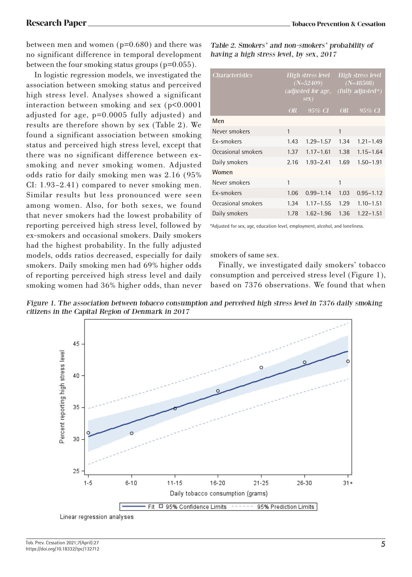between men and women (p=0.680) and there was no significant difference in temporal development between the four smoking status groups (p=0.055).

In logistic regression models, we investigated the association between smoking status and perceived high stress level. Analyses showed a significant interaction between smoking and sex (p<0.0001 adjusted for age, p=0.0005 fully adjusted) and results are therefore shown by sex (Table 2). We found a significant association between smoking status and perceived high stress level, except that there was no significant difference between exsmoking and never smoking women. Adjusted odds ratio for daily smoking men was 2.16 (95% CI: 1.93–2.41) compared to never smoking men. Similar results but less pronounced were seen among women. Also, for both sexes, we found that never smokers had the lowest probability of reporting perceived high stress level, followed by ex-smokers and occasional smokers. Daily smokers had the highest probability. In the fully adjusted models, odds ratios decreased, especially for daily smokers. Daily smoking men had 69% higher odds of reporting perceived high stress level and daily smoking women had 36% higher odds, than never

Table 2. Smokers' and non-smokers' probability of having a high stress level, by sex, 2017

| <i>Characteristics</i> | <b>High stress level</b><br>$(N=52409)$<br><i>(adjusted for age,</i><br>sex) |               | <b>High stress level</b><br>$(N=48508)$<br>$(fully \ adjusted*)$ |               |  |
|------------------------|------------------------------------------------------------------------------|---------------|------------------------------------------------------------------|---------------|--|
|                        | <b>OR</b>                                                                    | $95\%$ CI     | <b>OR</b>                                                        | 95% CI        |  |
| Men                    |                                                                              |               |                                                                  |               |  |
| Never smokers          | 1                                                                            |               | 1                                                                |               |  |
| Ex-smokers             | 1.43                                                                         | $1.29 - 1.57$ | 1.34                                                             | $1.21 - 1.49$ |  |
| Occasional smokers     | 1.37                                                                         | $1.17 - 1.61$ | 1.38                                                             | $1.15 - 1.64$ |  |
| Daily smokers          | 2.16                                                                         | $1.93 - 2.41$ | 1.69                                                             | $1.50 - 1.91$ |  |
| Women                  |                                                                              |               |                                                                  |               |  |
| Never smokers          | 1                                                                            |               | 1                                                                |               |  |
| Ex-smokers             | 1.06                                                                         | $0.99 - 1.14$ | 1.03                                                             | $0.95 - 1.12$ |  |
| Occasional smokers     | 1.34                                                                         | $1.17 - 1.55$ | 1.29                                                             | $1.10 - 1.51$ |  |
| Daily smokers          | 1.78                                                                         | $1.62 - 1.96$ | 1.36                                                             | $1.22 - 1.51$ |  |

\*Adjusted for sex, age, education level, employment, alcohol, and loneliness.

smokers of same sex.

Finally, we investigated daily smokers' tobacco consumption and perceived stress level (Figure 1), based on 7376 observations. We found that when

Figure 1. The association between tobacco consumption and perceived high stress level in 7376 daily smoking citizens in the Capital Region of Denmark in 2017

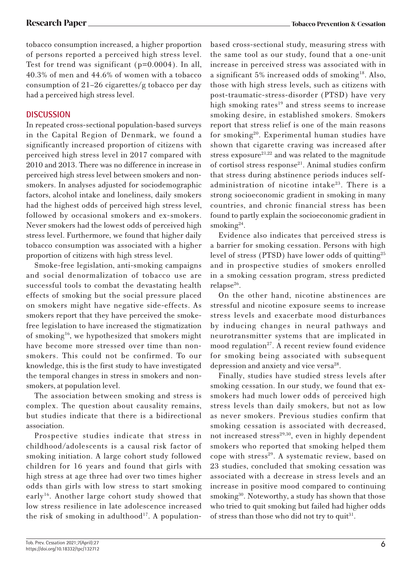tobacco consumption increased, a higher proportion of persons reported a perceived high stress level. Test for trend was significant (p=0.0004). In all, 40.3% of men and 44.6% of women with a tobacco consumption of 21–26 cigarettes/g tobacco per day had a perceived high stress level.

# **DISCUSSION**

In repeated cross-sectional population-based surveys in the Capital Region of Denmark, we found a significantly increased proportion of citizens with perceived high stress level in 2017 compared with 2010 and 2013. There was no difference in increase in perceived high stress level between smokers and nonsmokers. In analyses adjusted for sociodemographic factors, alcohol intake and loneliness, daily smokers had the highest odds of perceived high stress level, followed by occasional smokers and ex-smokers. Never smokers had the lowest odds of perceived high stress level. Furthermore, we found that higher daily tobacco consumption was associated with a higher proportion of citizens with high stress level.

Smoke-free legislation, anti-smoking campaigns and social denormalization of tobacco use are successful tools to combat the devastating health effects of smoking but the social pressure placed on smokers might have negative side-effects. As smokers report that they have perceived the smokefree legislation to have increased the stigmatization of smoking16, we hypothesized that smokers might have become more stressed over time than nonsmokers. This could not be confirmed. To our knowledge, this is the first study to have investigated the temporal changes in stress in smokers and nonsmokers, at population level.

The association between smoking and stress is complex. The question about causality remains, but studies indicate that there is a bidirectional association.

Prospective studies indicate that stress in childhood/adolescents is a causal risk factor of smoking initiation. A large cohort study followed children for 16 years and found that girls with high stress at age three had over two times higher odds than girls with low stress to start smoking early16. Another large cohort study showed that low stress resilience in late adolescence increased the risk of smoking in adulthood<sup>17</sup>. A populationbased cross-sectional study, measuring stress with the same tool as our study, found that a one-unit increase in perceived stress was associated with in a significant 5% increased odds of smoking18. Also, those with high stress levels, such as citizens with post-traumatic-stress-disorder (PTSD) have very high smoking rates $19$  and stress seems to increase smoking desire, in established smokers. Smokers report that stress relief is one of the main reasons for smoking20. Experimental human studies have shown that cigarette craving was increased after stress exposure<sup>21,22</sup> and was related to the magnitude of cortisol stress response<sup>21</sup>. Animal studies confirm that stress during abstinence periods induces selfadministration of nicotine intake<sup>23</sup>. There is a strong socioeconomic gradient in smoking in many countries, and chronic financial stress has been found to partly explain the socioeconomic gradient in smoking $24$ .

Evidence also indicates that perceived stress is a barrier for smoking cessation. Persons with high level of stress (PTSD) have lower odds of quitting25 and in prospective studies of smokers enrolled in a smoking cessation program, stress predicted  $relapse<sup>26</sup>$ .

On the other hand, nicotine abstinences are stressful and nicotine exposure seems to increase stress levels and exacerbate mood disturbances by inducing changes in neural pathways and neurotransmitter systems that are implicated in mood regulation<sup>27</sup>. A recent review found evidence for smoking being associated with subsequent depression and anxiety and vice versa<sup>28</sup>.

Finally, studies have studied stress levels after smoking cessation. In our study, we found that exsmokers had much lower odds of perceived high stress levels than daily smokers, but not as low as never smokers. Previous studies confirm that smoking cessation is associated with decreased, not increased stress<sup>29,30</sup>, even in highly dependent smokers who reported that smoking helped them cope with stress<sup>29</sup>. A systematic review, based on 23 studies, concluded that smoking cessation was associated with a decrease in stress levels and an increase in positive mood compared to continuing smoking<sup>30</sup>. Noteworthy, a study has shown that those who tried to quit smoking but failed had higher odds of stress than those who did not try to quit<sup>31</sup>.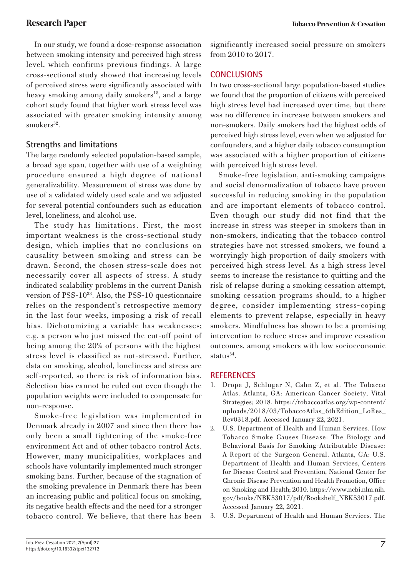In our study, we found a dose-response association between smoking intensity and perceived high stress level, which confirms previous findings. A large cross-sectional study showed that increasing levels of perceived stress were significantly associated with heavy smoking among daily smokers<sup>18</sup>, and a large cohort study found that higher work stress level was associated with greater smoking intensity among  $smokes^{32}$ .

# **Strengths and limitations**

The large randomly selected population-based sample, a broad age span, together with use of a weighting procedure ensured a high degree of national generalizability. Measurement of stress was done by use of a validated widely used scale and we adjusted for several potential confounders such as education level, loneliness, and alcohol use.

The study has limitations. First, the most important weakness is the cross-sectional study design, which implies that no conclusions on causality between smoking and stress can be drawn. Second, the chosen stress-scale does not necessarily cover all aspects of stress. A study indicated scalability problems in the current Danish version of PSS- $10^{33}$ . Also, the PSS-10 questionnaire relies on the respondent's retrospective memory in the last four weeks, imposing a risk of recall bias. Dichotomizing a variable has weaknesses; e.g. a person who just missed the cut-off point of being among the 20% of persons with the highest stress level is classified as not-stressed. Further, data on smoking, alcohol, loneliness and stress are self-reported, so there is risk of information bias. Selection bias cannot be ruled out even though the population weights were included to compensate for non-response.

Smoke-free legislation was implemented in Denmark already in 2007 and since then there has only been a small tightening of the smoke-free environment Act and of other tobacco control Acts. However, many municipalities, workplaces and schools have voluntarily implemented much stronger smoking bans. Further, because of the stagnation of the smoking prevalence in Denmark there has been an increasing public and political focus on smoking, its negative health effects and the need for a stronger tobacco control. We believe, that there has been significantly increased social pressure on smokers from 2010 to 2017.

# **CONCLUSIONS**

In two cross-sectional large population-based studies we found that the proportion of citizens with perceived high stress level had increased over time, but there was no difference in increase between smokers and non-smokers. Daily smokers had the highest odds of perceived high stress level, even when we adjusted for confounders, and a higher daily tobacco consumption was associated with a higher proportion of citizens with perceived high stress level.

Smoke-free legislation, anti-smoking campaigns and social denormalization of tobacco have proven successful in reducing smoking in the population and are important elements of tobacco control. Even though our study did not find that the increase in stress was steeper in smokers than in non-smokers, indicating that the tobacco control strategies have not stressed smokers, we found a worryingly high proportion of daily smokers with perceived high stress level. As a high stress level seems to increase the resistance to quitting and the risk of relapse during a smoking cessation attempt, smoking cessation programs should, to a higher degree, consider implementing stress-coping elements to prevent relapse, especially in heavy smokers. Mindfulness has shown to be a promising intervention to reduce stress and improve cessation outcomes, among smokers with low socioeconomic status $34$ .

# **REFERENCES**

- 1. Drope J, Schluger N, Cahn Z, et al. The Tobacco Atlas. Atlanta, GA: American Cancer Society, Vital Strategies; 2018. https://tobaccoatlas.org/wp-content/ uploads/2018/03/TobaccoAtlas\_6thEdition\_LoRes\_ Rev0318.pdf. Accessed January 22, 2021.
- 2. U.S. Department of Health and Human Services. How Tobacco Smoke Causes Disease: The Biology and Behavioral Basis for Smoking-Attributable Disease: A Report of the Surgeon General. Atlanta, GA: U.S. Department of Health and Human Services, Centers for Disease Control and Prevention, National Center for Chronic Disease Prevention and Health Promotion, Office on Smoking and Health; 2010. https://www.ncbi.nlm.nih. gov/books/NBK53017/pdf/Bookshelf\_NBK53017.pdf. Accessed January 22, 2021.
- 3. U.S. Department of Health and Human Services. The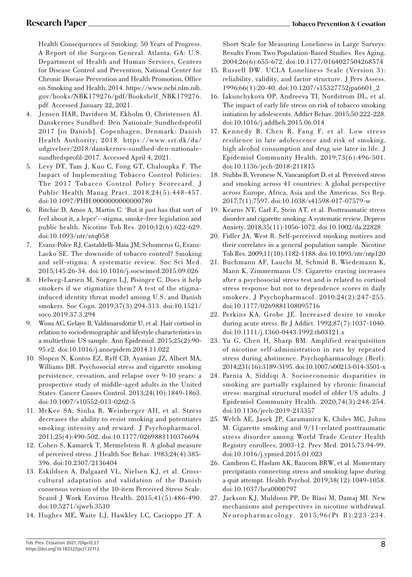Health Consequences of Smoking: 50 Years of Progress. A Report of the Surgeon General. Atlanta, GA: U.S. Department of Health and Human Services, Centers for Disease Control and Prevention, National Center for Chronic Disease Prevention and Health Promotion, Office on Smoking and Health; 2014. https://www.ncbi.nlm.nih. gov/books/NBK179276/pdf/Bookshelf\_NBK179276. pdf. Accessed January 22, 2021.

- 4. Jensen HAR, Davidsen M, Ekholm Ο, Christensen ΑΙ. Danskernes Sundhed: Den Nationale Sundhedsprofil 2017 [in Danish]. Copenhagen, Denmark: Danish Health Authority; 2018. https://www.sst.dk/da/ udgivelser/2018/danskernes-sundhed-den-nationalesundhedsprofil-2017. Accessed April 4, 2021.
- 5. Levy DT, Tam J, Kuo C, Fong GT, Chaloupka F. The Impact of Implementing Tobacco Control Policies: The 2017 Tobacco Control Policy Scorecard. J Public Health Manag Pract. 2018;24(5):448-457. doi:10.1097/PHH.0000000000000780
- 6. Ritchie D, Amos A, Martin C. 'But it just has that sort of feel about it, a leper'--stigma, smoke-free legislation and public health. Nicotine Tob Res. 2010;12(6):622-629. doi:10.1093/ntr/ntq058
- 7. Evans-Polce RJ, Castaldelli-Maia JM, Schomerus G, Evans-Lacko SE. The downside of tobacco control? Smoking and self-stigma: A systematic review. Soc Sci Med. 2015;145:26-34. doi:10.1016/j.socscimed.2015.09.026
- 8. Helweg-Larsen M, Sorgen LJ, Pisinger C. Does it help smokers if we stigmatize them? A test of the stigmainduced identity threat model among U.S. and Danish smokers. Soc Cogn. 2019;37(3):294-313. doi:10.1521/ soco.2019.37.3.294
- 9. Wosu AC, Gelaye B, Valdimarsdóttir U, et al. Hair cortisol in relation to sociodemographic and lifestyle characteristics in a multiethnic US sample. Ann Epidemiol. 2015;25(2):90- 95.e2. doi:10.1016/j.annepidem.2014.11.022
- 10. Slopen N, Kontos EZ, Ryff CD, Ayanian JZ, Albert MA, Williams DR. Psychosocial stress and cigarette smoking persistence, cessation, and relapse over 9-10 years: a prospective study of middle-aged adults in the United States. Cancer Causes Control. 2013;24(10):1849-1863. doi:10.1007/s10552-013-0262-5
- 11. McKee SA, Sinha R, Weinberger AH, et al. Stress decreases the ability to resist smoking and potentiates smoking intensity and reward. J Psychopharmacol. 2011;25(4):490-502. doi:10.1177/0269881110376694
- 12. Cohen S, Kamarck T, Mermelstein R. A global measure of perceived stress. J Health Soc Behav. 1983;24(4):385- 396. doi:10.2307/2136404
- 13. Eskildsen A, Dalgaard VL, Nielsen KJ, et al. Crosscultural adaptation and validation of the Danish consensus version of the 10-item Perceived Stress Scale. Scand J Work Environ Health. 2015;41(5):486-490. doi:10.5271/sjweh.3510
- 14. Hughes ME, Waite LJ, Hawkley LC, Cacioppo JT. A

Short Scale for Measuring Loneliness in Large Surveys: Results From Two Population-Based Studies. Res Aging. 2004;26(6):655-672. doi:10.1177/0164027504268574

- 15. Russell DW. UCLA Loneliness Scale (Version 3): reliability, validity, and factor structure. J Pers Assess. 1996;66(1):20-40. doi:10.1207/s15327752jpa6601\_2
- 16. Iakunchykova OP, Andreeva TI, Nordstrom DL, et al. The impact of early life stress on risk of tobacco smoking initiation by adolescents. Addict Behav. 2015;50:222-228. doi:10.1016/j.addbeh.2015.06.014
- 17. Kennedy B, Chen R, Fang F, et al. Low stress resilience in late adolescence and risk of smoking, high alcohol consumption and drug use later in life. J Epidemiol Community Health. 2019;73(6):496-501. doi:10.1136/jech-2018-211815
- 18. Stubbs B, Veronese N, Vancampfort D, et al. Perceived stress and smoking across 41 countries: A global perspective across Europe, Africa, Asia and the Americas. Sci Rep. 2017;7(1):7597. doi:10.1038/s41598-017-07579-w
- 19. Kearns NT, Carl E, Stein AT, et al. Posttraumatic stress disorder and cigarette smoking: A systematic review. Depress Anxiety. 2018;35(11):1056-1072. doi:10.1002/da.22828
- 20. Fidler JA, West R. Self-perceived smoking motives and their correlates in a general population sample. Nicotine Tob Res. 2009;11(10):1182-1188. doi:10.1093/ntr/ntp120
- 21. Buchmann AF, Laucht M, Schmid B, Wiedemann K, Mann K, Zimmermann US. Cigarette craving increases after a psychosocial stress test and is related to cortisol stress response but not to dependence scores in daily smokers. J Psychopharmacol. 2010;24(2):247-255. doi:10.1177/0269881108095716
- 22. Perkins KA, Grobe JE. Increased desire to smoke during acute stress. Br J Addict. 1992;87(7):1037-1040. doi:10.1111/j.1360-0443.1992.tb03121.x
- 23. Yu G, Chen H, Sharp BM. Amplified reacquisition of nicotine self-administration in rats by repeated stress during abstinence. Psychopharmacology (Berl). 2014;231(16):3189-3195. doi:10.1007/s00213-014-3501-x
- 24. Parnia A, Siddiqi A. Socioeconomic disparities in smoking are partially explained by chronic financial stress: marginal structural model of older US adults. J Epidemiol Community Health. 2020;74(3):248-254. doi:10.1136/jech-2019-213357
- 25. Welch AE, Jasek JP, Caramanica K, Chiles MC, Johns M. Cigarette smoking and 9/11-related posttraumatic stress disorder among World Trade Center Health Registry enrollees, 2003-12. Prev Med. 2015;73:94-99. doi:10.1016/j.ypmed.2015.01.023
- 26. Cambron C, Haslam AK, Baucom BRW, et al. Momentary precipitants connecting stress and smoking lapse during a quit attempt. Health Psychol. 2019;38(12):1049-1058. doi:10.1037/hea0000797
- 27. Jackson KJ, Muldoon PP, De Biasi M, Damaj MI. New mechanisms and perspectives in nicotine withdrawal. Neuropharmacology. 2015;96(Pt B):223-234.